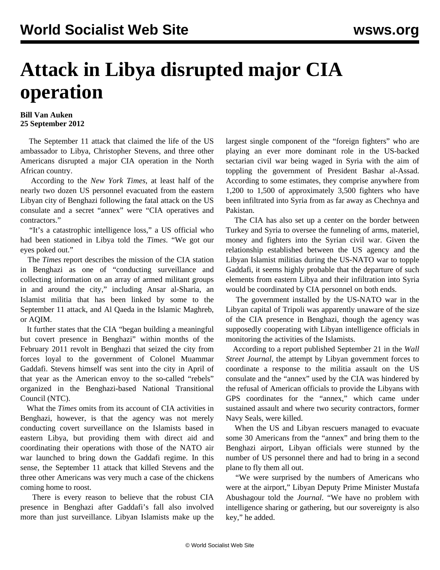## **Attack in Libya disrupted major CIA operation**

## **Bill Van Auken 25 September 2012**

 The September 11 attack that claimed the life of the US ambassador to Libya, Christopher Stevens, and three other Americans disrupted a major CIA operation in the North African country.

 According to the *New York Times*, at least half of the nearly two dozen US personnel evacuated from the eastern Libyan city of Benghazi following the fatal attack on the US consulate and a secret "annex" were "CIA operatives and contractors."

 "It's a catastrophic intelligence loss," a US official who had been stationed in Libya told the *Times*. "We got our eyes poked out."

 The *Times* report describes the mission of the CIA station in Benghazi as one of "conducting surveillance and collecting information on an array of armed militant groups in and around the city," including Ansar al-Sharia, an Islamist militia that has been linked by some to the September 11 attack, and Al Qaeda in the Islamic Maghreb, or AQIM.

 It further states that the CIA "began building a meaningful but covert presence in Benghazi" within months of the February 2011 revolt in Benghazi that seized the city from forces loyal to the government of Colonel Muammar Gaddafi. Stevens himself was sent into the city in April of that year as the American envoy to the so-called "rebels" organized in the Benghazi-based National Transitional Council (NTC).

 What the *Times* omits from its account of CIA activities in Benghazi, however, is that the agency was not merely conducting covert surveillance on the Islamists based in eastern Libya, but providing them with direct aid and coordinating their operations with those of the NATO air war launched to bring down the Gaddafi regime. In this sense, the September 11 attack that killed Stevens and the three other Americans was very much a case of the chickens coming home to roost.

 There is every reason to believe that the robust CIA presence in Benghazi after Gaddafi's fall also involved more than just surveillance. Libyan Islamists make up the largest single component of the "foreign fighters" who are playing an ever more dominant role in the US-backed sectarian civil war being waged in Syria with the aim of toppling the government of President Bashar al-Assad. According to some estimates, they comprise anywhere from 1,200 to 1,500 of approximately 3,500 fighters who have been infiltrated into Syria from as far away as Chechnya and Pakistan.

 The CIA has also set up a center on the border between Turkey and Syria to oversee the funneling of arms, materiel, money and fighters into the Syrian civil war. Given the relationship established between the US agency and the Libyan Islamist militias during the US-NATO war to topple Gaddafi, it seems highly probable that the departure of such elements from eastern Libya and their infiltration into Syria would be coordinated by CIA personnel on both ends.

 The government installed by the US-NATO war in the Libyan capital of Tripoli was apparently unaware of the size of the CIA presence in Benghazi, though the agency was supposedly cooperating with Libyan intelligence officials in monitoring the activities of the Islamists.

 According to a report published September 21 in the *Wall Street Journal*, the attempt by Libyan government forces to coordinate a response to the militia assault on the US consulate and the "annex" used by the CIA was hindered by the refusal of American officials to provide the Libyans with GPS coordinates for the "annex," which came under sustained assault and where two security contractors, former Navy Seals, were killed.

 When the US and Libyan rescuers managed to evacuate some 30 Americans from the "annex" and bring them to the Benghazi airport, Libyan officials were stunned by the number of US personnel there and had to bring in a second plane to fly them all out.

 "We were surprised by the numbers of Americans who were at the airport," Libyan Deputy Prime Minister Mustafa Abushagour told the *Journal*. "We have no problem with intelligence sharing or gathering, but our sovereignty is also key," he added.